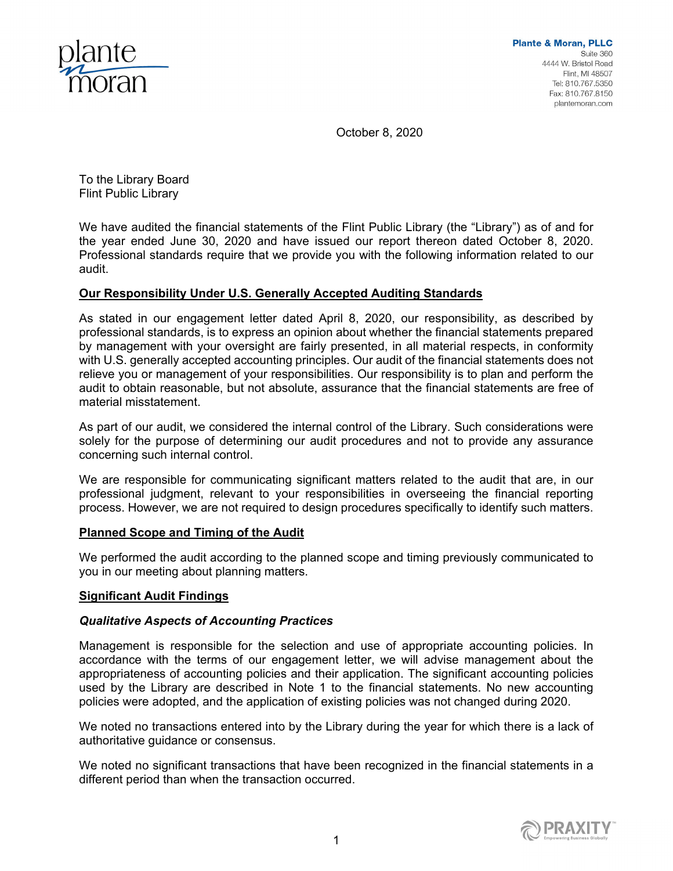

October 8, 2020

To the Library Board Flint Public Library

We have audited the financial statements of the Flint Public Library (the "Library") as of and for the year ended June 30, 2020 and have issued our report thereon dated October 8, 2020. Professional standards require that we provide you with the following information related to our audit.

## **Our Responsibility Under U.S. Generally Accepted Auditing Standards**

As stated in our engagement letter dated April 8, 2020, our responsibility, as described by professional standards, is to express an opinion about whether the financial statements prepared by management with your oversight are fairly presented, in all material respects, in conformity with U.S. generally accepted accounting principles. Our audit of the financial statements does not relieve you or management of your responsibilities. Our responsibility is to plan and perform the audit to obtain reasonable, but not absolute, assurance that the financial statements are free of material misstatement.

As part of our audit, we considered the internal control of the Library. Such considerations were solely for the purpose of determining our audit procedures and not to provide any assurance concerning such internal control.

We are responsible for communicating significant matters related to the audit that are, in our professional judgment, relevant to your responsibilities in overseeing the financial reporting process. However, we are not required to design procedures specifically to identify such matters.

## **Planned Scope and Timing of the Audit**

We performed the audit according to the planned scope and timing previously communicated to you in our meeting about planning matters.

## **Significant Audit Findings**

## *Qualitative Aspects of Accounting Practices*

Management is responsible for the selection and use of appropriate accounting policies. In accordance with the terms of our engagement letter, we will advise management about the appropriateness of accounting policies and their application. The significant accounting policies used by the Library are described in Note 1 to the financial statements. No new accounting policies were adopted, and the application of existing policies was not changed during 2020.

We noted no transactions entered into by the Library during the year for which there is a lack of authoritative guidance or consensus.

We noted no significant transactions that have been recognized in the financial statements in a different period than when the transaction occurred.

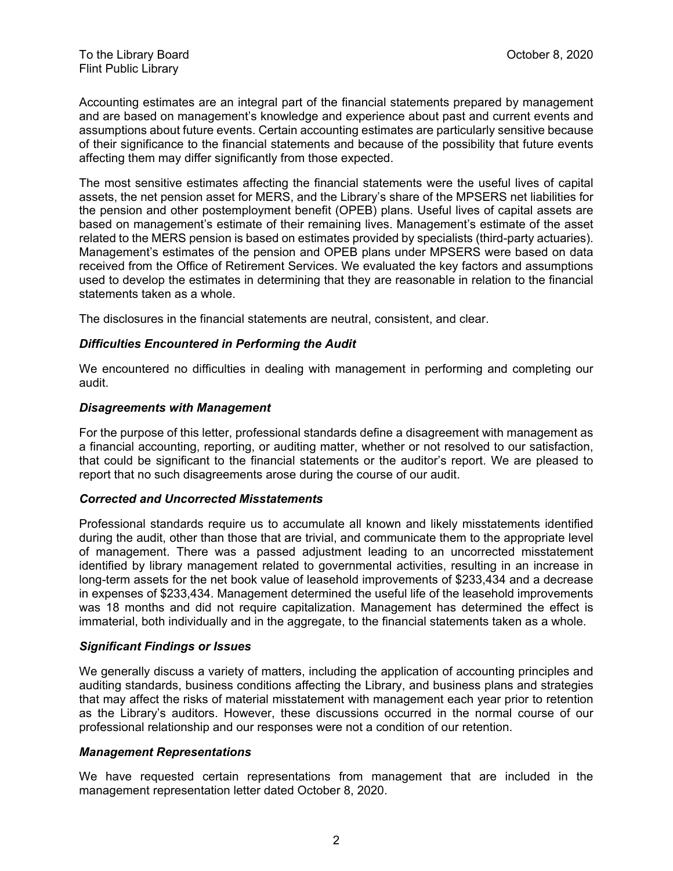Accounting estimates are an integral part of the financial statements prepared by management and are based on management's knowledge and experience about past and current events and assumptions about future events. Certain accounting estimates are particularly sensitive because of their significance to the financial statements and because of the possibility that future events affecting them may differ significantly from those expected.

The most sensitive estimates affecting the financial statements were the useful lives of capital assets, the net pension asset for MERS, and the Library's share of the MPSERS net liabilities for the pension and other postemployment benefit (OPEB) plans. Useful lives of capital assets are based on management's estimate of their remaining lives. Management's estimate of the asset related to the MERS pension is based on estimates provided by specialists (third-party actuaries). Management's estimates of the pension and OPEB plans under MPSERS were based on data received from the Office of Retirement Services. We evaluated the key factors and assumptions used to develop the estimates in determining that they are reasonable in relation to the financial statements taken as a whole.

The disclosures in the financial statements are neutral, consistent, and clear.

#### *Difficulties Encountered in Performing the Audit*

We encountered no difficulties in dealing with management in performing and completing our audit.

#### *Disagreements with Management*

For the purpose of this letter, professional standards define a disagreement with management as a financial accounting, reporting, or auditing matter, whether or not resolved to our satisfaction, that could be significant to the financial statements or the auditor's report. We are pleased to report that no such disagreements arose during the course of our audit.

#### *Corrected and Uncorrected Misstatements*

Professional standards require us to accumulate all known and likely misstatements identified during the audit, other than those that are trivial, and communicate them to the appropriate level of management. There was a passed adjustment leading to an uncorrected misstatement identified by library management related to governmental activities, resulting in an increase in long-term assets for the net book value of leasehold improvements of \$233,434 and a decrease in expenses of \$233,434. Management determined the useful life of the leasehold improvements was 18 months and did not require capitalization. Management has determined the effect is immaterial, both individually and in the aggregate, to the financial statements taken as a whole.

#### *Significant Findings or Issues*

We generally discuss a variety of matters, including the application of accounting principles and auditing standards, business conditions affecting the Library, and business plans and strategies that may affect the risks of material misstatement with management each year prior to retention as the Library's auditors. However, these discussions occurred in the normal course of our professional relationship and our responses were not a condition of our retention.

#### *Management Representations*

We have requested certain representations from management that are included in the management representation letter dated October 8, 2020.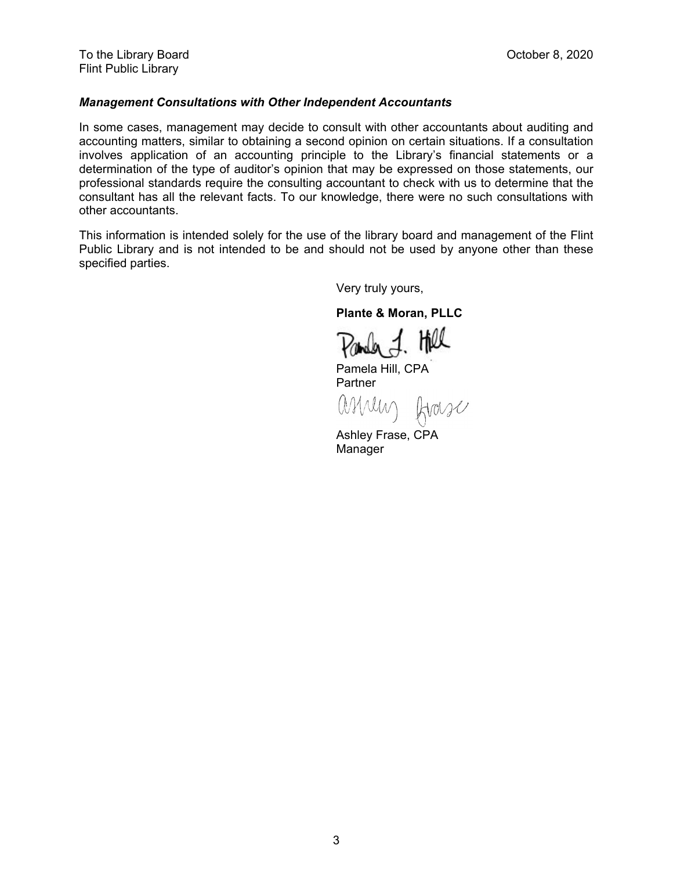#### *Management Consultations with Other Independent Accountants*

In some cases, management may decide to consult with other accountants about auditing and accounting matters, similar to obtaining a second opinion on certain situations. If a consultation involves application of an accounting principle to the Library's financial statements or a determination of the type of auditor's opinion that may be expressed on those statements, our professional standards require the consulting accountant to check with us to determine that the consultant has all the relevant facts. To our knowledge, there were no such consultations with other accountants.

This information is intended solely for the use of the library board and management of the Flint Public Library and is not intended to be and should not be used by anyone other than these specified parties.

Very truly yours,

**Plante & Moran, PLLC** 

Pander J. Hell

Pamela Hill, CPA Partner

ashely frase

Ashley Frase, CPA Manager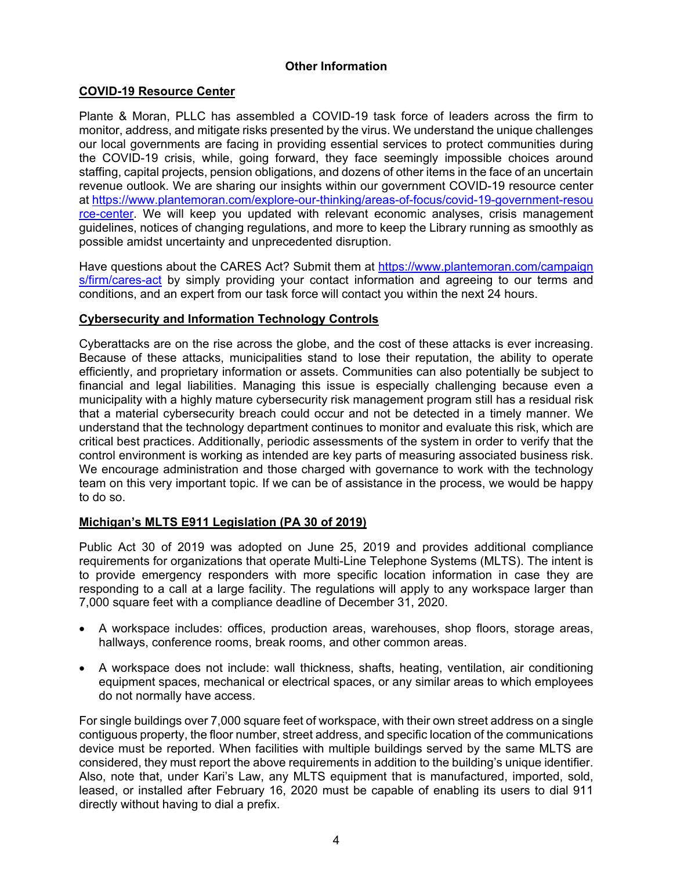# **Other Information**

## **COVID-19 Resource Center**

Plante & Moran, PLLC has assembled a COVID-19 task force of leaders across the firm to monitor, address, and mitigate risks presented by the virus. We understand the unique challenges our local governments are facing in providing essential services to protect communities during the COVID-19 crisis, while, going forward, they face seemingly impossible choices around staffing, capital projects, pension obligations, and dozens of other items in the face of an uncertain revenue outlook. We are sharing our insights within our government COVID-19 resource center at https://www.plantemoran.com/explore-our-thinking/areas-of-focus/covid-19-government-resou rce-center. We will keep you updated with relevant economic analyses, crisis management guidelines, notices of changing regulations, and more to keep the Library running as smoothly as possible amidst uncertainty and unprecedented disruption.

Have questions about the CARES Act? Submit them at https://www.plantemoran.com/campaign s/firm/cares-act by simply providing your contact information and agreeing to our terms and conditions, and an expert from our task force will contact you within the next 24 hours.

#### **Cybersecurity and Information Technology Controls**

Cyberattacks are on the rise across the globe, and the cost of these attacks is ever increasing. Because of these attacks, municipalities stand to lose their reputation, the ability to operate efficiently, and proprietary information or assets. Communities can also potentially be subject to financial and legal liabilities. Managing this issue is especially challenging because even a municipality with a highly mature cybersecurity risk management program still has a residual risk that a material cybersecurity breach could occur and not be detected in a timely manner. We understand that the technology department continues to monitor and evaluate this risk, which are critical best practices. Additionally, periodic assessments of the system in order to verify that the control environment is working as intended are key parts of measuring associated business risk. We encourage administration and those charged with governance to work with the technology team on this very important topic. If we can be of assistance in the process, we would be happy to do so.

## **Michigan's MLTS E911 Legislation (PA 30 of 2019)**

Public Act 30 of 2019 was adopted on June 25, 2019 and provides additional compliance requirements for organizations that operate Multi-Line Telephone Systems (MLTS). The intent is to provide emergency responders with more specific location information in case they are responding to a call at a large facility. The regulations will apply to any workspace larger than 7,000 square feet with a compliance deadline of December 31, 2020.

- A workspace includes: offices, production areas, warehouses, shop floors, storage areas, hallways, conference rooms, break rooms, and other common areas.
- A workspace does not include: wall thickness, shafts, heating, ventilation, air conditioning equipment spaces, mechanical or electrical spaces, or any similar areas to which employees do not normally have access.

For single buildings over 7,000 square feet of workspace, with their own street address on a single contiguous property, the floor number, street address, and specific location of the communications device must be reported. When facilities with multiple buildings served by the same MLTS are considered, they must report the above requirements in addition to the building's unique identifier. Also, note that, under Kari's Law, any MLTS equipment that is manufactured, imported, sold, leased, or installed after February 16, 2020 must be capable of enabling its users to dial 911 directly without having to dial a prefix.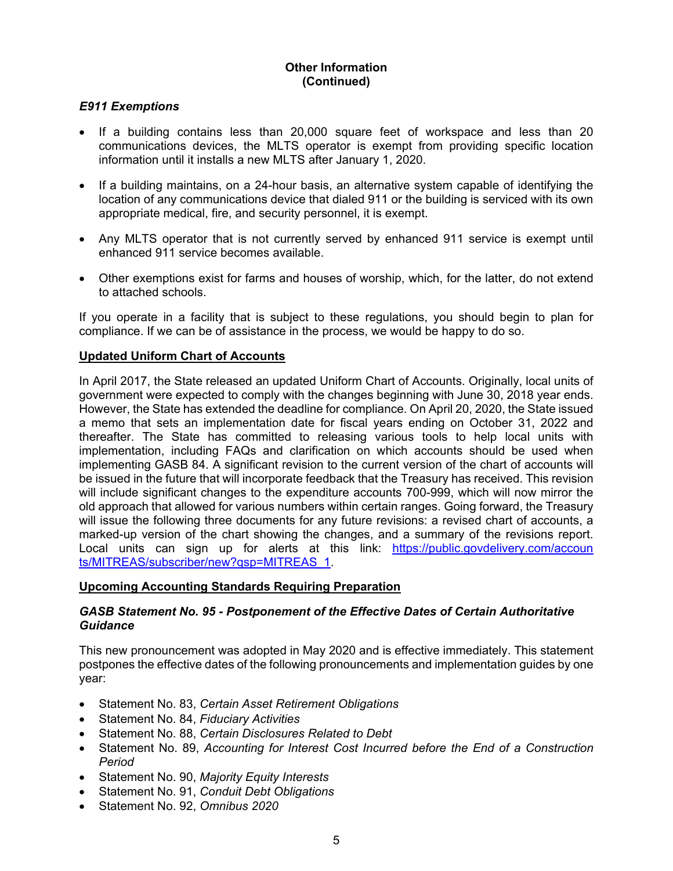# **Other Information (Continued)**

## *E911 Exemptions*

- If a building contains less than 20,000 square feet of workspace and less than 20 communications devices, the MLTS operator is exempt from providing specific location information until it installs a new MLTS after January 1, 2020.
- If a building maintains, on a 24-hour basis, an alternative system capable of identifying the location of any communications device that dialed 911 or the building is serviced with its own appropriate medical, fire, and security personnel, it is exempt.
- Any MLTS operator that is not currently served by enhanced 911 service is exempt until enhanced 911 service becomes available.
- Other exemptions exist for farms and houses of worship, which, for the latter, do not extend to attached schools.

If you operate in a facility that is subject to these regulations, you should begin to plan for compliance. If we can be of assistance in the process, we would be happy to do so.

#### **Updated Uniform Chart of Accounts**

In April 2017, the State released an updated Uniform Chart of Accounts. Originally, local units of government were expected to comply with the changes beginning with June 30, 2018 year ends. However, the State has extended the deadline for compliance. On April 20, 2020, the State issued a memo that sets an implementation date for fiscal years ending on October 31, 2022 and thereafter. The State has committed to releasing various tools to help local units with implementation, including FAQs and clarification on which accounts should be used when implementing GASB 84. A significant revision to the current version of the chart of accounts will be issued in the future that will incorporate feedback that the Treasury has received. This revision will include significant changes to the expenditure accounts 700-999, which will now mirror the old approach that allowed for various numbers within certain ranges. Going forward, the Treasury will issue the following three documents for any future revisions: a revised chart of accounts, a marked-up version of the chart showing the changes, and a summary of the revisions report. Local units can sign up for alerts at this link: https://public.govdelivery.com/accoun ts/MITREAS/subscriber/new?qsp=MITREAS\_1.

#### **Upcoming Accounting Standards Requiring Preparation**

#### *GASB Statement No. 95 - Postponement of the Effective Dates of Certain Authoritative Guidance*

This new pronouncement was adopted in May 2020 and is effective immediately. This statement postpones the effective dates of the following pronouncements and implementation guides by one year:

- Statement No. 83, *Certain Asset Retirement Obligations*
- Statement No. 84, *Fiduciary Activities*
- Statement No. 88, *Certain Disclosures Related to Debt*
- Statement No. 89, *Accounting for Interest Cost Incurred before the End of a Construction Period*
- Statement No. 90, *Majority Equity Interests*
- Statement No. 91, *Conduit Debt Obligations*
- Statement No. 92, *Omnibus 2020*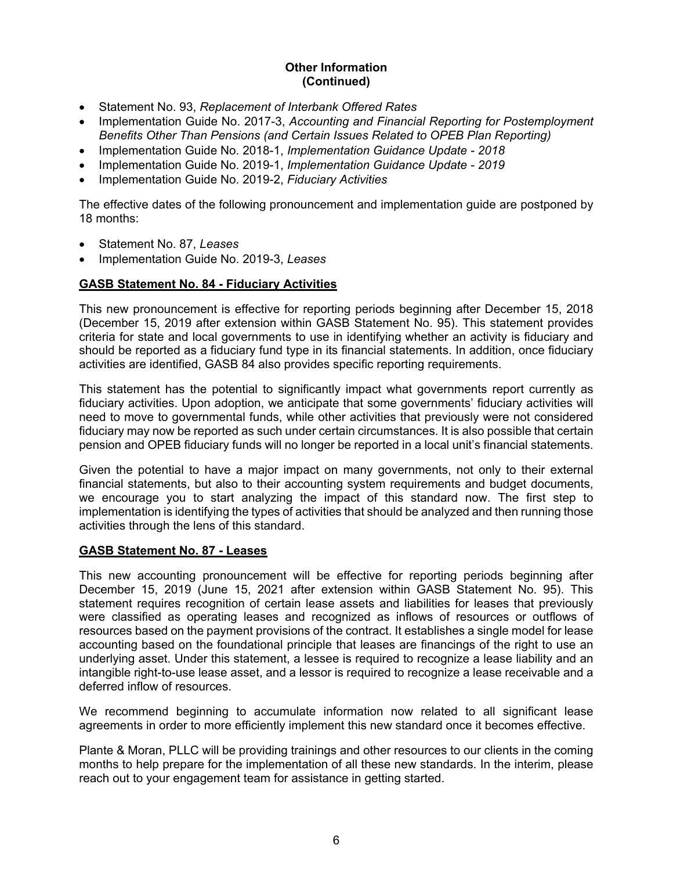# **Other Information (Continued)**

- Statement No. 93, *Replacement of Interbank Offered Rates*
- Implementation Guide No. 2017-3, *Accounting and Financial Reporting for Postemployment Benefits Other Than Pensions (and Certain Issues Related to OPEB Plan Reporting)*
- Implementation Guide No. 2018-1, *Implementation Guidance Update 2018*
- Implementation Guide No. 2019-1, *Implementation Guidance Update 2019*
- Implementation Guide No. 2019-2, *Fiduciary Activities*

The effective dates of the following pronouncement and implementation guide are postponed by 18 months:

- Statement No. 87, *Leases*
- Implementation Guide No. 2019-3, *Leases*

# **GASB Statement No. 84 - Fiduciary Activities**

This new pronouncement is effective for reporting periods beginning after December 15, 2018 (December 15, 2019 after extension within GASB Statement No. 95). This statement provides criteria for state and local governments to use in identifying whether an activity is fiduciary and should be reported as a fiduciary fund type in its financial statements. In addition, once fiduciary activities are identified, GASB 84 also provides specific reporting requirements.

This statement has the potential to significantly impact what governments report currently as fiduciary activities. Upon adoption, we anticipate that some governments' fiduciary activities will need to move to governmental funds, while other activities that previously were not considered fiduciary may now be reported as such under certain circumstances. It is also possible that certain pension and OPEB fiduciary funds will no longer be reported in a local unit's financial statements.

Given the potential to have a major impact on many governments, not only to their external financial statements, but also to their accounting system requirements and budget documents, we encourage you to start analyzing the impact of this standard now. The first step to implementation is identifying the types of activities that should be analyzed and then running those activities through the lens of this standard.

## **GASB Statement No. 87 - Leases**

This new accounting pronouncement will be effective for reporting periods beginning after December 15, 2019 (June 15, 2021 after extension within GASB Statement No. 95). This statement requires recognition of certain lease assets and liabilities for leases that previously were classified as operating leases and recognized as inflows of resources or outflows of resources based on the payment provisions of the contract. It establishes a single model for lease accounting based on the foundational principle that leases are financings of the right to use an underlying asset. Under this statement, a lessee is required to recognize a lease liability and an intangible right-to-use lease asset, and a lessor is required to recognize a lease receivable and a deferred inflow of resources.

We recommend beginning to accumulate information now related to all significant lease agreements in order to more efficiently implement this new standard once it becomes effective.

Plante & Moran, PLLC will be providing trainings and other resources to our clients in the coming months to help prepare for the implementation of all these new standards. In the interim, please reach out to your engagement team for assistance in getting started.